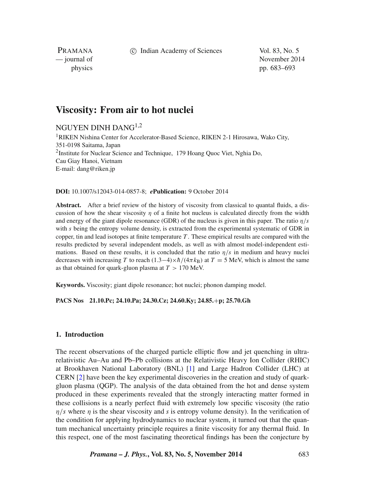c Indian Academy of Sciences Vol. 83, No. 5

PRAMANA<br>
— journal of

November 2014 physics pp. 683–693

# **Viscosity: From air to hot nuclei**

## NGUYEN DINH DANG1,2

<sup>1</sup>RIKEN Nishina Center for Accelerator-Based Science, RIKEN 2-1 Hirosawa, Wako City, 351-0198 Saitama, Japan 2Institute for Nuclear Science and Technique, 179 Hoang Quoc Viet, Nghia Do, Cau Giay Hanoi, Vietnam E-mail: dang@riken.jp

**DOI:** 10.1007/s12043-014-0857-8; *e***Publication:** 9 October 2014

**Abstract.** After a brief review of the history of viscosity from classical to quantal fluids, a discussion of how the shear viscosity *η* of a finite hot nucleus is calculated directly from the width and energy of the giant dipole resonance (GDR) of the nucleus is given in this paper. The ratio *η/s* with *s* being the entropy volume density, is extracted from the experimental systematic of GDR in copper, tin and lead isotopes at finite temperature *T* . These empirical results are compared with the results predicted by several independent models, as well as with almost model-independent estimations. Based on these results, it is concluded that the ratio  $\eta/s$  in medium and heavy nuclei decreases with increasing *T* to reach  $(1.3-4)\times h/(4\pi k_B)$  at  $T = 5$  MeV, which is almost the same as that obtained for quark-gluon plasma at *T >* 170 MeV.

**Keywords.** Viscosity; giant dipole resonance; hot nuclei; phonon damping model.

## **PACS Nos 21.10.Pc; 24.10.Pa; 24.30.Cz; 24.60.Ky; 24.85.**+**p; 25.70.Gh**

## **1. Introduction**

The recent observations of the charged particle elliptic flow and jet quenching in ultrarelativistic Au–Au and Pb–Pb collisions at the Relativistic Heavy Ion Collider (RHIC) at Brookhaven National Laboratory (BNL) [\[1\]](#page-10-0) and Large Hadron Collider (LHC) at CERN [\[2\]](#page-10-1) have been the key experimental discoveries in the creation and study of quarkgluon plasma (QGP). The analysis of the data obtained from the hot and dense system produced in these experiments revealed that the strongly interacting matter formed in these collisions is a nearly perfect fluid with extremely low specific viscosity (the ratio *η/s* where *η* is the shear viscosity and *s* is entropy volume density). In the verification of the condition for applying hydrodynamics to nuclear system, it turned out that the quantum mechanical uncertainty principle requires a finite viscosity for any thermal fluid. In this respect, one of the most fascinating theoretical findings has been the conjecture by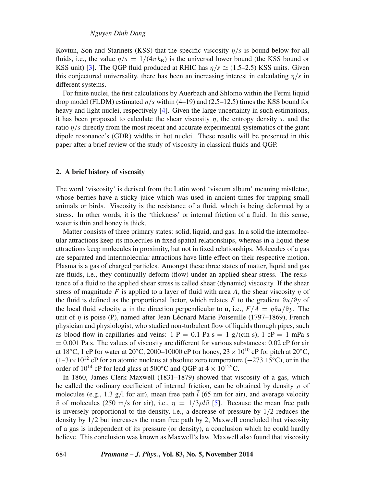Kovtun, Son and Starinets (KSS) that the specific viscosity *η/s* is bound below for all fluids, i.e., the value  $n/s = 1/(4\pi k_B)$  is the universal lower bound (the KSS bound or KSS unit) [\[3\]](#page-10-2). The OGP fluid produced at RHIC has  $\eta/s \simeq (1.5-2.5)$  KSS units. Given this conjectured universality, there has been an increasing interest in calculating  $\eta/s$  in different systems.

For finite nuclei, the first calculations by Auerbach and Shlomo within the Fermi liquid drop model (FLDM) estimated *η/s* within (4–19) and (2.5–12.5) times the KSS bound for heavy and light nuclei, respectively [\[4\]](#page-10-3). Given the large uncertainty in such estimations, it has been proposed to calculate the shear viscosity *η*, the entropy density *s*, and the ratio *η/s* directly from the most recent and accurate experimental systematics of the giant dipole resonance's (GDR) widths in hot nuclei. These results will be presented in this paper after a brief review of the study of viscosity in classical fluids and QGP.

#### **2. A brief history of viscosity**

The word 'viscosity' is derived from the Latin word 'viscum album' meaning mistletoe, whose berries have a sticky juice which was used in ancient times for trapping small animals or birds. Viscosity is the resistance of a fluid, which is being deformed by a stress. In other words, it is the 'thickness' or internal friction of a fluid. In this sense, water is thin and honey is thick.

Matter consists of three primary states: solid, liquid, and gas. In a solid the intermolecular attractions keep its molecules in fixed spatial relationships, whereas in a liquid these attractions keep molecules in proximity, but not in fixed relationships. Molecules of a gas are separated and intermolecular attractions have little effect on their respective motion. Plasma is a gas of charged particles. Amongst these three states of matter, liquid and gas are fluids, i.e., they continually deform (flow) under an applied shear stress. The resistance of a fluid to the applied shear stress is called shear (dynamic) viscosity. If the shear stress of magnitude *F* is applied to a layer of fluid with area *A*, the shear viscosity *η* of the fluid is defined as the proportional factor, which relates *F* to the gradient *∂u/∂y* of the local fluid velocity *u* in the direction perpendicular to **u**, i.e.,  $F/A = \eta \partial u / \partial y$ . The unit of *η* is poise (P), named after Jean Léonard Marie Poiseuille (1797–1869), French physician and physiologist, who studied non-turbulent flow of liquids through pipes, such as blood flow in capillaries and veins:  $1 P = 0.1 Pa s = 1 g/(cm s)$ ,  $1 cP = 1 mPa s$  $= 0.001$  Pa s. The values of viscosity are different for various substances: 0.02 cP for air at 18<sup>°</sup>C, 1 cP for water at 20<sup>°</sup>C, 2000–10000 cP for honey,  $23 \times 10^{10}$  cP for pitch at 20<sup>°</sup>C, (1–3)×1012 cP for an atomic nucleus at absolute zero temperature (−273*.*15◦C), or in the order of  $10^{14}$  cP for lead glass at  $500^{\circ}$ C and QGP at  $4 \times 10^{12^{\circ}}$ C.

In 1860, James Clerk Maxwell (1831–1879) showed that viscosity of a gas, which he called the ordinary coefficient of internal friction, can be obtained by density *ρ* of molecules (e.g., 1.3  $g/l$  for air), mean free path  $\overline{l}$  (65 nm for air), and average velocity  $\bar{v}$  of molecules (250 m/s for air), i.e.,  $\eta = 1/3 \rho \bar{l} \bar{v}$  [\[5\]](#page-10-4). Because the mean free path is inversely proportional to the density, i.e., a decrease of pressure by 1*/*2 reduces the density by 1*/*2 but increases the mean free path by 2, Maxwell concluded that viscosity of a gas is independent of its pressure (or density), a conclusion which he could hardly believe. This conclusion was known as Maxwell's law. Maxwell also found that viscosity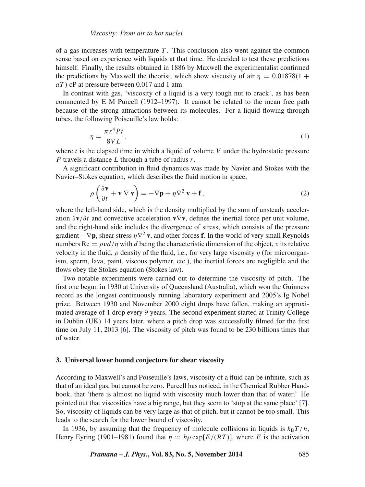of a gas increases with temperature  $T$ . This conclusion also went against the common sense based on experience with liquids at that time. He decided to test these predictions himself. Finally, the results obtained in 1886 by Maxwell the experimentalist confirmed the predictions by Maxwell the theorist, which show viscosity of air  $\eta = 0.01878(1 +$ *aT )* cP at pressure between 0.017 and 1 atm.

In contrast with gas, 'viscosity of a liquid is a very tough nut to crack', as has been commented by E M Purcell (1912–1997). It cannot be related to the mean free path because of the strong attractions between its molecules. For a liquid flowing through tubes, the following Poiseuille's law holds:

$$
\eta = \frac{\pi r^4 P t}{8V L},\tag{1}
$$

where *t* is the elapsed time in which a liquid of volume *V* under the hydrostatic pressure *P* travels a distance *L* through a tube of radius *r*.

A significant contribution in fluid dynamics was made by Navier and Stokes with the Navier–Stokes equation, which describes the fluid motion in space,

$$
\rho \left( \frac{\partial \mathbf{v}}{\partial t} + \mathbf{v} \nabla \mathbf{v} \right) = -\nabla \mathbf{p} + \eta \nabla^2 \mathbf{v} + \mathbf{f}, \qquad (2)
$$

where the left-hand side, which is the density multiplied by the sum of unsteady acceleration *∂***v***/∂t* and convective acceleration **v**∇**v**, defines the inertial force per unit volume, and the right-hand side includes the divergence of stress, which consists of the pressure gradient  $-\nabla p$ , shear stress  $\eta \nabla^2$  **v**, and other forces **f**. In the world of very small Reynolds numbers  $\text{Re} = \rho v d / \eta$  with *d* being the characteristic dimension of the object, *v* its relative velocity in the fluid, *ρ* density of the fluid, i.e., for very large viscosity *η* (for microorganism, sperm, lava, paint, viscous polymer, etc.), the inertial forces are negligible and the flows obey the Stokes equation (Stokes law).

Two notable experiments were carried out to determine the viscosity of pitch. The first one begun in 1930 at University of Queensland (Australia), which won the Guinness record as the longest continuously running laboratory experiment and 2005's Ig Nobel prize. Between 1930 and November 2000 eight drops have fallen, making an approximated average of 1 drop every 9 years. The second experiment started at Trinity College in Dublin (UK) 14 years later, where a pitch drop was successfully filmed for the first time on July 11, 2013 [\[6\]](#page-10-5). The viscosity of pitch was found to be 230 billions times that of water.

#### **3. Universal lower bound conjecture for shear viscosity**

According to Maxwell's and Poiseuille's laws, viscosity of a fluid can be infinite, such as that of an ideal gas, but cannot be zero. Purcell has noticed, in the Chemical Rubber Handbook, that 'there is almost no liquid with viscosity much lower than that of water.' He pointed out that viscosities have a big range, but they seem to 'stop at the same place' [\[7\]](#page-10-6). So, viscosity of liquids can be very large as that of pitch, but it cannot be too small. This leads to the search for the lower bound of viscosity.

In 1936, by assuming that the frequency of molecule collisions in liquids is  $k_B T/h$ , Henry Eyring (1901–1981) found that  $\eta \simeq h\rho \exp[E/(RT)]$ , where *E* is the activation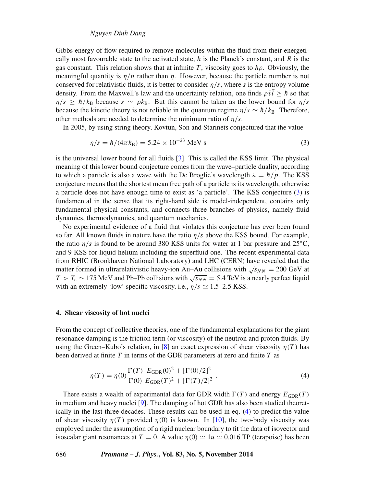#### *Nguyen Dinh Dang*

Gibbs energy of flow required to remove molecules within the fluid from their energetically most favourable state to the activated state, *h* is the Planck's constant, and *R* is the gas constant. This relation shows that at infinite *T*, viscosity goes to  $h\rho$ . Obviously, the meaningful quantity is  $\eta/n$  rather than  $\eta$ . However, because the particle number is not conserved for relativistic fluids, it is better to consider *η/s*, where *s* is the entropy volume density. From the Maxwell's law and the uncertainty relation, one finds  $\rho \bar{v} \bar{l} \geq \hbar$  so that  $\eta/s \ge \hbar/k_B$  because  $s \sim \rho k_B$ . But this cannot be taken as the lower bound for  $\eta/s$ because the kinetic theory is not reliable in the quantum regime  $\eta/s \sim \hbar/k_B$ . Therefore, other methods are needed to determine the minimum ratio of *η/s*.

In 2005, by using string theory, Kovtun, Son and Starinets conjectured that the value

<span id="page-3-0"></span>
$$
\eta/s = \hbar/(4\pi k_B) = 5.24 \times 10^{-23} \text{ MeV s}
$$
 (3)

is the universal lower bound for all fluids [\[3\]](#page-10-2). This is called the KSS limit. The physical meaning of this lower bound conjecture comes from the wave–particle duality, according to which a particle is also a wave with the De Broglie's wavelength  $\lambda = \hbar / p$ . The KSS conjecture means that the shortest mean free path of a particle is its wavelength, otherwise a particle does not have enough time to exist as 'a particle'. The KSS conjecture [\(3\)](#page-3-0) is fundamental in the sense that its right-hand side is model-independent, contains only fundamental physical constants, and connects three branches of physics, namely fluid dynamics, thermodynamics, and quantum mechanics.

No experimental evidence of a fluid that violates this conjecture has ever been found so far. All known fluids in nature have the ratio *η/s* above the KSS bound. For example, the ratio  $\eta/s$  is found to be around 380 KSS units for water at 1 bar pressure and 25<sup>°</sup>C, and 9 KSS for liquid helium including the superfluid one. The recent experimental data from RHIC (Brookhaven National Laboratory) and LHC (CERN) have revealed that the matter formed in ultrarelativistic heavy-ion Au–Au collisions with  $\sqrt{s_{NN}} = 200$  GeV at  $T > T_c \sim 175$  MeV and Pb–Pb collisions with  $\sqrt{s_{NN}} = 5.4$  TeV is a nearly perfect liquid with an extremely 'low' specific viscosity, i.e.,  $\eta/s \simeq 1.5{\text -}2.5$  KSS.

#### **4. Shear viscosity of hot nuclei**

From the concept of collective theories, one of the fundamental explanations for the giant resonance damping is the friction term (or viscosity) of the neutron and proton fluids. By using the Green–Kubo's relation, in [\[8\]](#page-10-7) an exact expression of shear viscosity  $\eta(T)$  has been derived at finite *T* in terms of the GDR parameters at zero and finite *T* as

<span id="page-3-1"></span>
$$
\eta(T) = \eta(0) \frac{\Gamma(T)}{\Gamma(0)} \frac{E_{\text{GDR}}(0)^2 + [\Gamma(0)/2]^2}{E_{\text{GDR}}(T)^2 + [\Gamma(T)/2]^2} \,. \tag{4}
$$

There exists a wealth of experimental data for GDR width  $\Gamma(T)$  and energy  $E_{GDR}(T)$ in medium and heavy nuclei [\[9\]](#page-10-8). The damping of hot GDR has also been studied theoretically in the last three decades. These results can be used in eq. [\(4\)](#page-3-1) to predict the value of shear viscosity  $\eta(T)$  provided  $\eta(0)$  is known. In [\[10\]](#page-10-9), the two-body viscosity was employed under the assumption of a rigid nuclear boundary to fit the data of isovector and isoscalar giant resonances at  $T = 0$ . A value  $η(0) \approx 1u \approx 0.016$  TP (terapoise) has been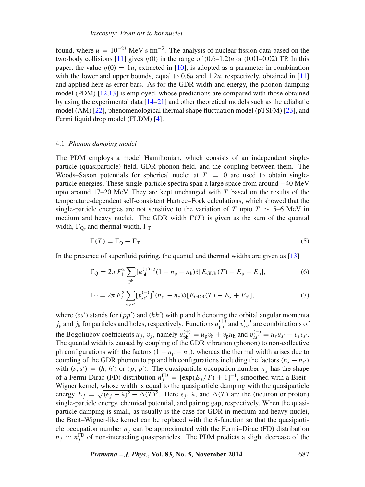found, where  $u = 10^{-23}$  MeV s fm<sup>-3</sup>. The analysis of nuclear fission data based on the two-body collisions  $[11]$  gives  $n(0)$  in the range of  $(0.6-1.2)u$  or  $(0.01-0.02)$  TP. In this paper, the value  $\eta(0) = 1u$ , extracted in [\[10\]](#page-10-9), is adopted as a parameter in combination with the lower and upper bounds, equal to  $0.6u$  and  $1.2u$ , respectively, obtained in [\[11\]](#page-10-10) and applied here as error bars. As for the GDR width and energy, the phonon damping model (PDM) [\[12,](#page-10-11)[13\]](#page-10-12) is employed, whose predictions are compared with those obtained by using the experimental data  $[14–21]$  $[14–21]$  and other theoretical models such as the adiabatic model (AM) [\[22\]](#page-10-15), phenomenological thermal shape fluctuation model (pTSFM) [\[23\]](#page-10-16), and Fermi liquid drop model (FLDM) [\[4\]](#page-10-3).

#### 4.1 *Phonon damping model*

The PDM employs a model Hamiltonian, which consists of an independent singleparticle (quasiparticle) field, GDR phonon field, and the coupling between them. The Woods–Saxon potentials for spherical nuclei at  $T = 0$  are used to obtain singleparticle energies. These single-particle spectra span a large space from around −40 MeV upto around 17–20 MeV. They are kept unchanged with *T* based on the results of the temperature-dependent self-consistent Hartree–Fock calculations, which showed that the single-particle energies are not sensitive to the variation of *T* upto  $T \sim 5-6$  MeV in medium and heavy nuclei. The GDR width  $\Gamma(T)$  is given as the sum of the quantal width,  $\Gamma$ <sub>O</sub>, and thermal width,  $\Gamma$ <sub>T</sub>:

<span id="page-4-0"></span>
$$
\Gamma(T) = \Gamma_{\mathbb{Q}} + \Gamma_{\mathbb{T}}.\tag{5}
$$

In the presence of superfluid pairing, the quantal and thermal widths are given as [\[13\]](#page-10-12)

$$
\Gamma_{\mathcal{Q}} = 2\pi F_1^2 \sum_{\text{ph}} [u_{\text{ph}}^{(+)}]^2 (1 - n_{\text{p}} - n_{\text{h}}) \delta[E_{\text{GDR}}(T) - E_{\text{p}} - E_{\text{h}}],\tag{6}
$$

$$
\Gamma_{\rm T} = 2\pi F_2^2 \sum_{s > s'} [v_{ss'}^{(-)}]^2 (n_{s'} - n_s) \delta[E_{\rm GDR}(T) - E_s + E_{s'}], \tag{7}
$$

where  $(s'')$  stands for  $(pp')$  and  $(hh')$  with p and h denoting the orbital angular momenta *j*<sub>p</sub> and *j*<sub>h</sub> for particles and holes, respectively. Functions  $u_{ph}^{(+)}$  and  $v_{ss'}^{(-)}$  are combinations of the Bogoliubov coefficients  $u_j$ ,  $v_j$ , namely  $u_{ph}^{(+)} = u_p v_h + v_p u_h$  and  $v_{ss'}^{(-)} = u_s u_{s'} - v_s v_{s'}$ . The quantal width is caused by coupling of the GDR vibration (phonon) to non-collective ph configurations with the factors  $(1 - n_p - n_h)$ , whereas the thermal width arises due to coupling of the GDR phonon to pp and hh configurations including the factors  $(n_s - n_{s'})$ with  $(s, s') = (h, h')$  or  $(p, p')$ . The quasiparticle occupation number  $n_j$  has the shape of a Fermi-Dirac (FD) distribution  $n_j^{\text{FD}} = [\exp(E_j/T) + 1]^{-1}$ , smoothed with a Breit– Wigner kernel, whose width is equal to the quasiparticle damping with the quasiparticle energy  $E_j = \sqrt{(\epsilon_j - \lambda)^2 + \Delta(T)^2}$ . Here  $\epsilon_j$ ,  $\lambda$ , and  $\Delta(T)$  are the (neutron or proton) single-particle energy, chemical potential, and pairing gap, respectively. When the quasiparticle damping is small, as usually is the case for GDR in medium and heavy nuclei, the Breit–Wigner-like kernel can be replaced with the *δ*-function so that the quasiparticle occupation number  $n_i$  can be approximated with the Fermi–Dirac (FD) distribution  $n_j \simeq n_j^{\text{FD}}$  of non-interacting quasiparticles. The PDM predicts a slight decrease of the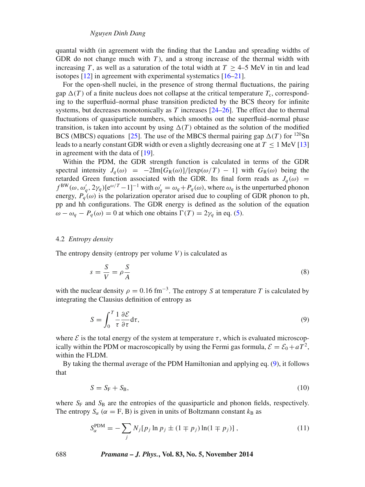quantal width (in agreement with the finding that the Landau and spreading widths of GDR do not change much with *T* ), and a strong increase of the thermal width with increasing *T*, as well as a saturation of the total width at  $T > 4-5$  MeV in tin and lead isotopes [\[12\]](#page-10-11) in agreement with experimental systematics [\[16–](#page-10-17)[21\]](#page-10-14).

For the open-shell nuclei, in the presence of strong thermal fluctuations, the pairing gap  $\Delta(T)$  of a finite nucleus does not collapse at the critical temperature  $T_c$ , corresponding to the superfluid–normal phase transition predicted by the BCS theory for infinite systems, but decreases monotonically as  $T$  increases  $[24–26]$  $[24–26]$ . The effect due to thermal fluctuations of quasiparticle numbers, which smooths out the superfluid–normal phase transition, is taken into account by using  $\Delta(T)$  obtained as the solution of the modified BCS (MBCS) equations [\[25\]](#page-10-20). The use of the MBCS thermal pairing gap  $\Delta(T)$  for <sup>120</sup>Sn leads to a nearly constant GDR width or even a slightly decreasing one at  $T \le 1$  MeV [\[13\]](#page-10-12) in agreement with the data of [\[19\]](#page-10-21).

Within the PDM, the GDR strength function is calculated in terms of the GDR spectral intensity  $J_q(\omega) = -2\text{Im}[G_R(\omega)]/[\exp(\omega/T) - 1]$  with  $G_R(\omega)$  being the retarded Green function associated with the GDR. Its final form reads as  $J_q(\omega)$  =  $f^{BW}(\omega, \omega'_q, 2\gamma_q)[e^{\omega/T} - 1]^{-1}$  with  $\omega'_q = \omega_q + P_q(\omega)$ , where  $\omega_q$  is the unperturbed phonon energy,  $P_q(\omega)$  is the polarization operator arised due to coupling of GDR phonon to ph, pp and hh configurations. The GDR energy is defined as the solution of the equation *ω* − *ω<sub>q</sub>* − *P<sub>q</sub>*(*ω*) = 0 at which one obtains  $\Gamma(T) = 2\gamma_q$  in eq. [\(5\)](#page-4-0).

#### 4.2 *Entropy density*

The entropy density (entropy per volume *V* ) is calculated as

$$
s = \frac{S}{V} = \rho \frac{S}{A} \tag{8}
$$

with the nuclear density  $\rho = 0.16 \text{ fm}^{-3}$ . The entropy *S* at temperature *T* is calculated by integrating the Clausius definition of entropy as

<span id="page-5-0"></span>
$$
S = \int_0^T \frac{1}{\tau} \frac{\partial \mathcal{E}}{\partial \tau} d\tau,\tag{9}
$$

where  $\mathcal E$  is the total energy of the system at temperature  $\tau$ , which is evaluated microscopically within the PDM or macroscopically by using the Fermi gas formula,  $\mathcal{E} = \mathcal{E}_0 + aT^2$ , within the FLDM.

<span id="page-5-1"></span>By taking the thermal average of the PDM Hamiltonian and applying eq. [\(9\)](#page-5-0), it follows that

$$
S = S_{\rm F} + S_{\rm B},\tag{10}
$$

where  $S_F$  and  $S_B$  are the entropies of the quasiparticle and phonon fields, respectively. The entropy  $S_\alpha$  ( $\alpha = F$ , B) is given in units of Boltzmann constant  $k_B$  as

<span id="page-5-2"></span>
$$
S_{\alpha}^{\text{PDM}} = -\sum_{j} N_{j} [p_{j} \ln p_{j} \pm (1 \mp p_{j}) \ln(1 \mp p_{j})], \qquad (11)
$$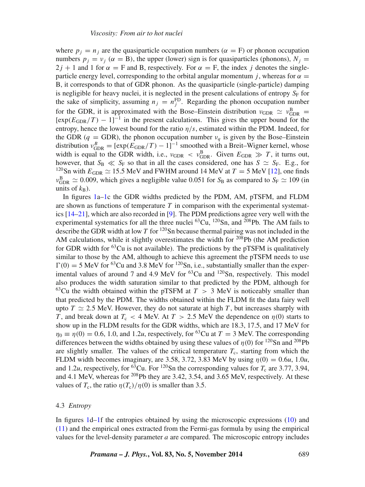where  $p_j = n_j$  are the quasiparticle occupation numbers ( $\alpha = F$ ) or phonon occupation numbers  $p_i = v_i$  ( $\alpha = B$ ), the upper (lower) sign is for quasiparticles (phonons),  $N_i =$  $2j + 1$  and 1 for  $\alpha = F$  and B, respectively. For  $\alpha = F$ , the index *j* denotes the singleparticle energy level, corresponding to the orbital angular momentum *j*, whereas for  $\alpha$  = B, it corresponds to that of GDR phonon. As the quasiparticle (single-particle) damping is negligible for heavy nuclei, it is neglected in the present calculations of entropy  $S_F$  for the sake of simplicity, assuming  $n_j = n_j^{\text{FD}}$ . Regarding the phonon occupation number for the GDR, it is approximated with the Bose–Einstein distribution  $v_{GDR} \simeq v_{GDR}^B$  $[\exp(E_{\text{GDR}}/T) - 1]^{-1}$  in the present calculations. This gives the upper bound for the entropy, hence the lowest bound for the ratio *η/s*, estimated within the PDM. Indeed, for the GDR ( $q =$  GDR), the phonon occupation number  $v_q$  is given by the Bose–Einstein distribution  $v_{\text{GDR}}^B = [\exp(E_{\text{GDR}}/T) - 1]^{-1}$  smoothed with a Breit–Wigner kernel, whose width is equal to the GDR width, i.e.,  $v_{\text{GDR}} < v_{\text{GDR}}^{\text{B}}$ . Given  $E_{\text{GDR}} \gg T$ , it turns out, however, that  $S_{\rm B} \ll S_{\rm F}$  so that in all the cases considered, one has  $S \simeq S_{\rm F}$ . E.g., for <sup>120</sup>Sn with  $E_{\text{GDR}} \simeq 15.5$  MeV and FWHM around 14 MeV at  $T = 5$  MeV [\[12\]](#page-10-11), one finds  $v_{\text{GDR}}^{\text{B}} \simeq 0.009$ , which gives a negligible value 0.051 for *S*<sub>B</sub> as compared to *S*<sub>F</sub>  $\simeq 109$  (in units of  $k_{\rm B}$ ).

In figures [1a–1c](#page-7-0) the GDR widths predicted by the PDM, AM, pTSFM, and FLDM are shown as functions of temperature  $T$  in comparison with the experimental systematics [\[14](#page-10-13)[–21\]](#page-10-14), which are also recorded in [\[9\]](#page-10-8). The PDM predictions agree very well with the experimental systematics for all the three nuclei  ${}^{63}Cu$ ,  ${}^{120}Sn$ , and  ${}^{208}Pb$ . The AM fails to describe the GDR width at low *T* for 120Sn because thermal pairing was not included in the AM calculations, while it slightly overestimates the width for  $208Pb$  (the AM prediction for GDR width for  ${}^{63}$ Cu is not available). The predictions by the pTSFM is qualitatively similar to those by the AM, although to achieve this agreement the pTSFM needs to use  $\Gamma(0) = 5$  MeV for <sup>63</sup>Cu and 3.8 MeV for <sup>120</sup>Sn, i.e., substantially smaller than the experimental values of around 7 and 4.9 MeV for  ${}^{63}Cu$  and  ${}^{120}Sn$ , respectively. This model also produces the width saturation similar to that predicted by the PDM, although for <sup>63</sup>Cu the width obtained within the pTSFM at  $T > 3$  MeV is noticeably smaller than that predicted by the PDM. The widths obtained within the FLDM fit the data fairy well upto  $T \simeq 2.5$  MeV. However, they do not saturate at high *T*, but increases sharply with *T*, and break down at  $T_c < 4$  MeV. At  $T > 2.5$  MeV the dependence on  $\eta(0)$  starts to show up in the FLDM results for the GDR widths, which are 18.3, 17.5, and 17 MeV for  $\eta_0 \equiv \eta(0) = 0.6$ , 1.0, and 1.2*u*, respectively, for <sup>63</sup>Cu at  $T = 3$  MeV. The corresponding differences between the widths obtained by using these values of  $\eta(0)$  for <sup>120</sup>Sn and <sup>208</sup>Pb are slightly smaller. The values of the critical temperature  $T_c$ , starting from which the FLDM width becomes imaginary, are 3.58, 3.72, 3.83 MeV by using  $\eta(0) = 0.6u$ , 1.0*u*, and 1.2*u*, respectively, for <sup>63</sup>Cu. For <sup>120</sup>Sn the corresponding values for  $T_c$  are 3.77, 3.94, and 4.1 MeV, whereas for <sup>208</sup>Pb they are 3.42, 3.54, and 3.65 MeV, respectively. At these values of  $T_c$ , the ratio  $\eta(T_c)/\eta(0)$  is smaller than 3.5.

## 4.3 *Entropy*

In figures [1d–1f](#page-7-0) the entropies obtained by using the microscopic expressions [\(10\)](#page-5-1) and [\(11\)](#page-5-2) and the empirical ones extracted from the Fermi-gas formula by using the empirical values for the level-density parameter *a* are compared. The microscopic entropy includes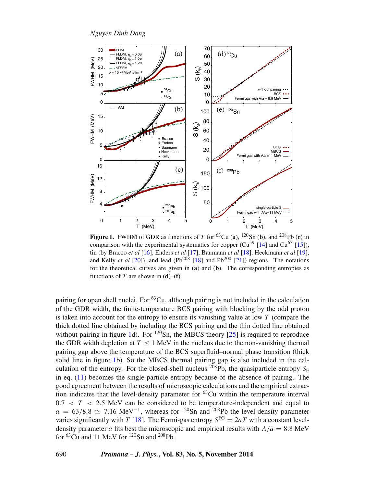*Nguyen Dinh Dang*

<span id="page-7-0"></span>

**Figure 1.** FWHM of GDR as functions of *T* for <sup>63</sup>Cu (**a**), <sup>120</sup>Sn (**b**), and <sup>208</sup>Pb (**c**) in comparison with the experimental systematics for copper  $(Cu^{59}$  [\[14\]](#page-10-13) and  $Cu^{63}$  [\[15\]](#page-10-22)), tin (by Bracco *et al* [\[16\]](#page-10-17), Enders *et al* [\[17\]](#page-10-23), Baumann *et al* [\[18\]](#page-10-24), Heckmann *et al* [\[19\]](#page-10-21), and Kelly *et al* [\[20\]](#page-10-25)), and lead (Pb<sup>208</sup> [\[18\]](#page-10-24) and Pb<sup>200</sup> [\[21\]](#page-10-14)) regions. The notations for the theoretical curves are given in (**a**) and (**b**). The corresponding entropies as functions of  $T$  are shown in  $(d)$ – $(f)$ .

pairing for open shell nuclei. For <sup>63</sup>Cu, although pairing is not included in the calculation of the GDR width, the finite-temperature BCS pairing with blocking by the odd proton is taken into account for the entropy to ensure its vanishing value at low *T* (compare the thick dotted line obtained by including the BCS pairing and the thin dotted line obtained without pairing in figure [1d](#page-7-0)). For  $120\text{Sn}$ , the MBCS theory [\[25\]](#page-10-20) is required to reproduce the GDR width depletion at  $T < 1$  MeV in the nucleus due to the non-vanishing thermal pairing gap above the temperature of the BCS superfluid–normal phase transition (thick solid line in figure [1b](#page-7-0)). So the MBCS thermal pairing gap is also included in the calculation of the entropy. For the closed-shell nucleus  $^{208}Pb$ , the quasiparticle entropy  $S_F$ in eq. [\(11\)](#page-5-2) becomes the single-particle entropy because of the absence of pairing. The good agreement between the results of microscopic calculations and the empirical extraction indicates that the level-density parameter for <sup>63</sup>Cu within the temperature interval  $0.7 < T < 2.5$  MeV can be considered to be temperature-independent and equal to  $a = 63/8.8 \simeq 7.16 \text{ MeV}^{-1}$ , whereas for <sup>120</sup>Sn and <sup>208</sup>Pb the level-density parameter varies significantly with *T* [\[18\]](#page-10-24). The Fermi-gas entropy  $S<sup>FG</sup> = 2aT$  with a constant leveldensity parameter *a* fits best the microscopic and empirical results with  $A/a = 8.8$  MeV for  ${}^{63}$ Cu and 11 MeV for  ${}^{120}$ Sn and  ${}^{208}$ Pb.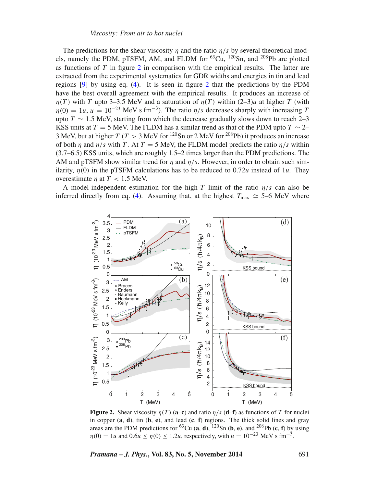The predictions for the shear viscosity *η* and the ratio *η/s* by several theoretical models, namely the PDM, pTSFM, AM, and FLDM for  ${}^{63}Cu$ ,  ${}^{120}Sn$ , and  ${}^{208}Pb$  are plotted as functions of *T* in figure [2](#page-8-0) in comparison with the empirical results. The latter are extracted from the experimental systematics for GDR widths and energies in tin and lead regions [\[9\]](#page-10-8) by using eq. [\(4\)](#page-3-1). It is seen in figure [2](#page-8-0) that the predictions by the PDM have the best overall agreement with the empirical results. It produces an increase of *η*(*T*) with *T* upto 3–3.5 MeV and a saturation of *η*(*T*) within (2–3)*u* at higher *T* (with  $\eta(0) = 1u$ ,  $u = 10^{-23}$  MeV s fm<sup>-3</sup>). The ratio  $\eta/s$  decreases sharply with increasing *T* upto  $T \sim 1.5$  MeV, starting from which the decrease gradually slows down to reach 2–3 KSS units at  $T = 5$  MeV. The FLDM has a similar trend as that of the PDM upto  $T \sim 2-$ 3 MeV, but at higher  $T(T > 3$  MeV for <sup>120</sup>Sn or 2 MeV for <sup>208</sup>Pb) it produces an increase of both  $\eta$  and  $\eta/s$  with *T*. At  $T = 5$  MeV, the FLDM model predicts the ratio  $\eta/s$  within (3.7–6.5) KSS units, which are roughly 1.5–2 times larger than the PDM predictions. The AM and pTSFM show similar trend for *η* and *η/s*. However, in order to obtain such similarity,  $\eta(0)$  in the pTSFM calculations has to be reduced to 0.72*u* instead of 1*u*. They overestimate  $\eta$  at  $T < 1.5$  MeV.

<span id="page-8-0"></span>A model-independent estimation for the high-*T* limit of the ratio  $\eta/s$  can also be inferred directly from eq. [\(4\)](#page-3-1). Assuming that, at the highest  $T_{\text{max}} \approx 5{\text -}6$  MeV where



**Figure 2.** Shear viscosity *η(T )* (**a**–**c**) and ratio *η/s* (**d**–**f**) as functions of *T* for nuclei in copper (**a**, **d**), tin (**b**, **e**), and lead (**c**, **f**) regions. The thick solid lines and gray areas are the PDM predictions for <sup>63</sup>Cu (**a**, **d**), <sup>120</sup>Sn (**b**, **e**), and <sup>208</sup>Pb (**c**, **f**) by using  $\eta(0) = 1u$  and  $0.6u < \eta(0) < 1.2u$ , respectively, with  $u = 10^{-23}$  MeV s fm<sup>-3</sup>.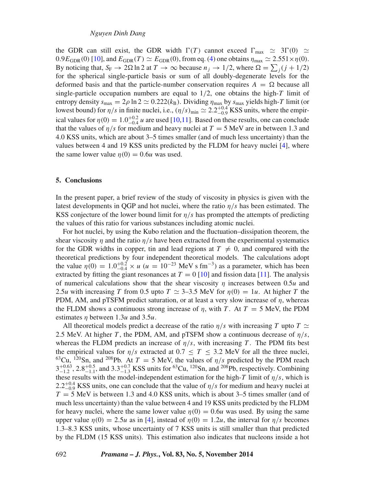the GDR can still exist, the GDR width  $\Gamma(T)$  cannot exceed  $\Gamma_{\text{max}} \simeq 3\Gamma(0) \simeq$  $0.9E_{GDR}(0)$  [\[10\]](#page-10-9), and  $E_{GDR}(T) \simeq E_{GDR}(0)$ , from eq. [\(4\)](#page-3-1) one obtains  $\eta_{max} \simeq 2.551 \times \eta(0)$ . By noticing that,  $S_F \to 2\Omega \ln 2$  at  $T \to \infty$  because  $n_j \to 1/2$ , where  $\Omega = \sum_j (j + 1/2)$ for the spherical single-particle basis or sum of all doubly-degenerate levels for the deformed basis and that the particle-number conservation requires  $A = \Omega$  because all single-particle occupation numbers are equal to 1*/*2, one obtains the high-*T* limit of entropy density  $s_{\text{max}} = 2\rho \ln 2 \simeq 0.222(k_B)$ . Dividing  $\eta_{\text{max}}$  by  $s_{\text{max}}$  yields high-*T* limit (or lowest bound) for  $\eta/s$  in finite nuclei, i.e.,  $(\eta/s)_{\text{min}} \simeq 2.2^{+0.4}_{-0.9}$  KSS units, where the empirical values for  $\eta(0) = 1.0^{+0.2}_{-0.4}$  *u* are used [\[10](#page-10-9)[,11\]](#page-10-10). Based on these results, one can conclude that the values of  $\eta/s$  for medium and heavy nuclei at  $T = 5$  MeV are in between 1.3 and 4.0 KSS units, which are about 3–5 times smaller (and of much less uncertainty) than the values between 4 and 19 KSS units predicted by the FLDM for heavy nuclei [\[4\]](#page-10-3), where the same lower value  $\eta(0) = 0.6u$  was used.

#### **5. Conclusions**

In the present paper, a brief review of the study of viscosity in physics is given with the latest developments in QGP and hot nuclei, where the ratio  $\eta/s$  has been estimated. The KSS conjecture of the lower bound limit for *η/s* has prompted the attempts of predicting the values of this ratio for various substances including atomic nuclei.

For hot nuclei, by using the Kubo relation and the fluctuation–dissipation theorem, the shear viscosity  $\eta$  and the ratio  $\eta/s$  have been extracted from the experimental systematics for the GDR widths in copper, tin and lead regions at  $T \neq 0$ , and compared with the theoretical predictions by four independent theoretical models. The calculations adopt the value  $\eta(0) = 1.0^{+0.2}_{-0.4} \times u$  ( $u = 10^{-23}$  MeV s fm<sup>-3</sup>) as a parameter, which has been extracted by fitting the giant resonances at  $T = 0$  [\[10\]](#page-10-9) and fission data [\[11\]](#page-10-10). The analysis of numerical calculations show that the shear viscosity *η* increases between 0.5*u* and 2.5*u* with increasing *T* from 0.5 upto  $T \approx 3{\text -}3.5$  MeV for  $\eta(0) = 1u$ . At higher *T* the PDM, AM, and pTSFM predict saturation, or at least a very slow increase of *η*, whereas the FLDM shows a continuous strong increase of  $\eta$ , with *T*. At  $T = 5$  MeV, the PDM estimates *η* between 1.3*u* and 3.5*u*.

All theoretical models predict a decrease of the ratio  $\eta/s$  with increasing *T* upto *T*  $\simeq$ 2.5 MeV. At higher *T*, the PDM, AM, and pTSFM show a continuous decrease of  $\eta/s$ , whereas the FLDM predicts an increase of  $\eta/s$ , with increasing *T*. The PDM fits best the empirical values for  $\eta/s$  extracted at  $0.7 \leq T \leq 3.2$  MeV for all the three nuclei, <sup>63</sup>Cu, <sup>120</sup>Sn, and <sup>208</sup>Pb. At  $T = 5$  MeV, the values of  $\eta/s$  predicted by the PDM reach  $3^{+0.63}_{-1.2}$ ,  $2.8^{+0.5}_{-1.1}$ , and  $3.3^{+0.7}_{-1.3}$  KSS units for <sup>63</sup>Cu, <sup>120</sup>Sn, and <sup>208</sup>Pb, respectively. Combining these results with the model-independent estimation for the high-*T* limit of  $\eta/s$ , which is  $2.2^{+0.4}_{-0.9}$  KSS units, one can conclude that the value of  $\eta/s$  for medium and heavy nuclei at  $\frac{1}{2}$ *T* = 5 MeV is between 1.3 and 4.0 KSS units, which is about 3–5 times smaller (and of much less uncertainty) than the value between 4 and 19 KSS units predicted by the FLDM for heavy nuclei, where the same lower value  $\eta(0) = 0.6u$  was used. By using the same upper value  $\eta(0) = 2.5u$  as in [\[4\]](#page-10-3), instead of  $\eta(0) = 1.2u$ , the interval for  $\eta/s$  becomes 1.3–8.3 KSS units, whose uncertainty of 7 KSS units is still smaller than that predicted by the FLDM (15 KSS units). This estimation also indicates that nucleons inside a hot